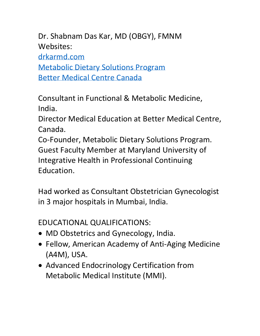Dr. Shabnam Das Kar, MD (OBGY), FMNM Websites: [drkarmd.com](https://drkarmd.com/) [Metabolic Dietary Solutions Program](http://www.mdsprogram.com/) [Better Medical Centre Canada](http://better4life.ca/better/about-dr-shabnam-das-kar/)

Consultant in Functional & Metabolic Medicine, India.

Director Medical Education at Better Medical Centre, Canada.

Co-Founder, Metabolic Dietary Solutions Program. Guest Faculty Member at Maryland University of Integrative Health in Professional Continuing Education.

Had worked as Consultant Obstetrician Gynecologist in 3 major hospitals in Mumbai, India.

EDUCATIONAL QUALIFICATIONS:

- MD Obstetrics and Gynecology, India.
- Fellow, American Academy of Anti-Aging Medicine (A4M), USA.
- Advanced Endocrinology Certification from Metabolic Medical Institute (MMI).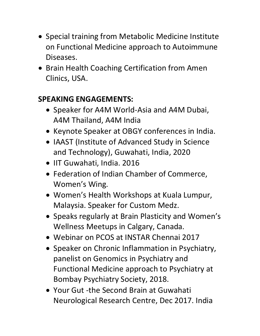- Special training from Metabolic Medicine Institute on Functional Medicine approach to Autoimmune Diseases.
- Brain Health Coaching Certification from Amen Clinics, USA.

## **SPEAKING ENGAGEMENTS:**

- Speaker for A4M World-Asia and A4M Dubai, A4M Thailand, A4M India
- Keynote Speaker at OBGY conferences in India.
- IAAST (Institute of Advanced Study in Science and Technology), Guwahati, India, 2020
- IIT Guwahati, India. 2016
- Federation of Indian Chamber of Commerce, Women's Wing.
- Women's Health Workshops at Kuala Lumpur, Malaysia. Speaker for Custom Medz.
- Speaks regularly at Brain Plasticity and Women's Wellness Meetups in Calgary, Canada.
- Webinar on PCOS at INSTAR Chennai 2017
- Speaker on Chronic Inflammation in Psychiatry, panelist on Genomics in Psychiatry and Functional Medicine approach to Psychiatry at Bombay Psychiatry Society, 2018.
- Your Gut -the Second Brain at Guwahati Neurological Research Centre, Dec 2017. India